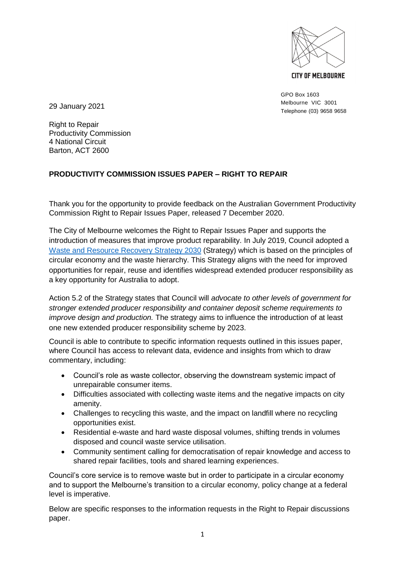

**CITY OF MELBOURNE** 

GPO Box 1603 Melbourne VIC 3001 Telephone (03) 9658 9658

29 January 2021

Right to Repair Productivity Commission 4 National Circuit Barton, ACT 2600

# **PRODUCTIVITY COMMISSION ISSUES PAPER – RIGHT TO REPAIR**

Thank you for the opportunity to provide feedback on the Australian Government Productivity Commission Right to Repair Issues Paper, released 7 December 2020.

The City of Melbourne welcomes the Right to Repair Issues Paper and supports the introduction of measures that improve product reparability. In July 2019, Council adopted a [Waste and Resource Recovery Strategy 2030](https://www.melbourne.vic.gov.au/about-melbourne/sustainability/pages/waste-and-resource-recovery-strategy-2030.aspx) (Strategy) which is based on the principles of circular economy and the waste hierarchy. This Strategy aligns with the need for improved opportunities for repair, reuse and identifies widespread extended producer responsibility as a key opportunity for Australia to adopt.

Action 5.2 of the Strategy states that Council will *advocate to other levels of government for stronger extended producer responsibility and container deposit scheme requirements to improve design and production.* The strategy aims to influence the introduction of at least one new extended producer responsibility scheme by 2023.

Council is able to contribute to specific information requests outlined in this issues paper, where Council has access to relevant data, evidence and insights from which to draw commentary, including:

- Council's role as waste collector, observing the downstream systemic impact of unrepairable consumer items.
- Difficulties associated with collecting waste items and the negative impacts on city amenity.
- Challenges to recycling this waste, and the impact on landfill where no recycling opportunities exist.
- Residential e-waste and hard waste disposal volumes, shifting trends in volumes disposed and council waste service utilisation.
- Community sentiment calling for democratisation of repair knowledge and access to shared repair facilities, tools and shared learning experiences.

Council's core service is to remove waste but in order to participate in a circular economy and to support the Melbourne's transition to a circular economy, policy change at a federal level is imperative.

Below are specific responses to the information requests in the Right to Repair discussions paper.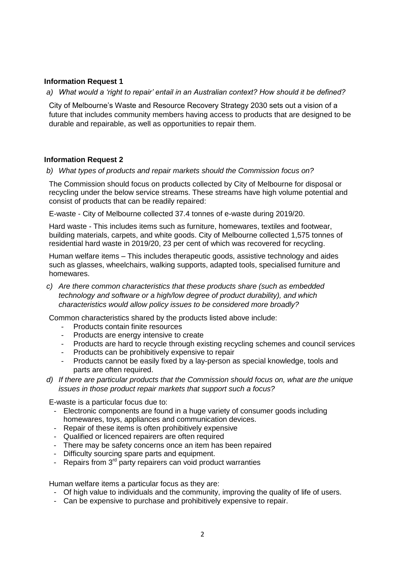## **Information Request 1**

*a) What would a 'right to repair' entail in an Australian context? How should it be defined?*

City of Melbourne's Waste and Resource Recovery Strategy 2030 sets out a vision of a future that includes community members having access to products that are designed to be durable and repairable, as well as opportunities to repair them.

### **Information Request 2**

*b) What types of products and repair markets should the Commission focus on?*

The Commission should focus on products collected by City of Melbourne for disposal or recycling under the below service streams. These streams have high volume potential and consist of products that can be readily repaired:

E-waste - City of Melbourne collected 37.4 tonnes of e-waste during 2019/20.

Hard waste - This includes items such as furniture, homewares, textiles and footwear, building materials, carpets, and white goods. City of Melbourne collected 1,575 tonnes of residential hard waste in 2019/20, 23 per cent of which was recovered for recycling.

Human welfare items – This includes therapeutic goods, assistive technology and aides such as glasses, wheelchairs, walking supports, adapted tools, specialised furniture and homewares.

*c) Are there common characteristics that these products share (such as embedded technology and software or a high/low degree of product durability), and which characteristics would allow policy issues to be considered more broadly?*

Common characteristics shared by the products listed above include:

- Products contain finite resources
- Products are energy intensive to create
- Products are hard to recycle through existing recycling schemes and council services
- Products can be prohibitively expensive to repair
- Products cannot be easily fixed by a lay-person as special knowledge, tools and parts are often required.
- *d) If there are particular products that the Commission should focus on, what are the unique issues in those product repair markets that support such a focus?*

E-waste is a particular focus due to:

- Electronic components are found in a huge variety of consumer goods including homewares, toys, appliances and communication devices.
- Repair of these items is often prohibitively expensive
- Qualified or licenced repairers are often required
- There may be safety concerns once an item has been repaired
- Difficulty sourcing spare parts and equipment.
- Repairs from  $3<sup>rd</sup>$  party repairers can void product warranties

Human welfare items a particular focus as they are:

- Of high value to individuals and the community, improving the quality of life of users.
- Can be expensive to purchase and prohibitively expensive to repair.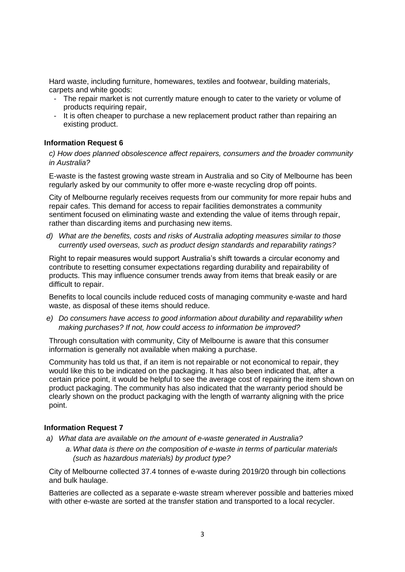Hard waste, including furniture, homewares, textiles and footwear, building materials, carpets and white goods:

- The repair market is not currently mature enough to cater to the variety or volume of products requiring repair,
- It is often cheaper to purchase a new replacement product rather than repairing an existing product.

### **Information Request 6**

*c) How does planned obsolescence affect repairers, consumers and the broader community in Australia?* 

E-waste is the fastest growing waste stream in Australia and so City of Melbourne has been regularly asked by our community to offer more e-waste recycling drop off points.

City of Melbourne regularly receives requests from our community for more repair hubs and repair cafes. This demand for access to repair facilities demonstrates a community sentiment focused on eliminating waste and extending the value of items through repair, rather than discarding items and purchasing new items.

*d) What are the benefits, costs and risks of Australia adopting measures similar to those currently used overseas, such as product design standards and reparability ratings?* 

Right to repair measures would support Australia's shift towards a circular economy and contribute to resetting consumer expectations regarding durability and repairability of products. This may influence consumer trends away from items that break easily or are difficult to repair.

Benefits to local councils include reduced costs of managing community e-waste and hard waste, as disposal of these items should reduce.

*e) Do consumers have access to good information about durability and reparability when making purchases? If not, how could access to information be improved?* 

Through consultation with community, City of Melbourne is aware that this consumer information is generally not available when making a purchase.

Community has told us that, if an item is not repairable or not economical to repair, they would like this to be indicated on the packaging. It has also been indicated that, after a certain price point, it would be helpful to see the average cost of repairing the item shown on product packaging. The community has also indicated that the warranty period should be clearly shown on the product packaging with the length of warranty aligning with the price point.

### **Information Request 7**

*a) What data are available on the amount of e-waste generated in Australia?* 

*a.What data is there on the composition of e-waste in terms of particular materials (such as hazardous materials) by product type?* 

City of Melbourne collected 37.4 tonnes of e-waste during 2019/20 through bin collections and bulk haulage.

Batteries are collected as a separate e-waste stream wherever possible and batteries mixed with other e-waste are sorted at the transfer station and transported to a local recycler.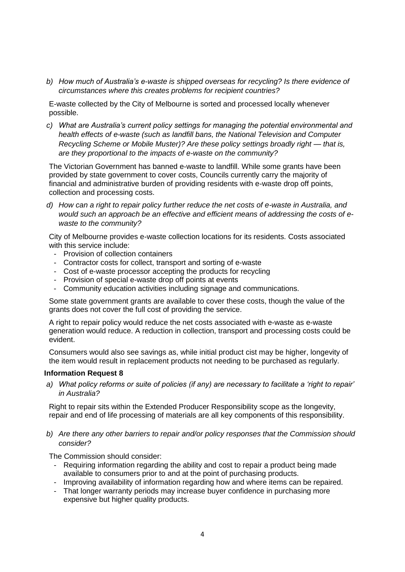*b) How much of Australia's e-waste is shipped overseas for recycling? Is there evidence of circumstances where this creates problems for recipient countries?*

E-waste collected by the City of Melbourne is sorted and processed locally whenever possible.

*c) What are Australia's current policy settings for managing the potential environmental and health effects of e-waste (such as landfill bans, the National Television and Computer Recycling Scheme or Mobile Muster)? Are these policy settings broadly right — that is, are they proportional to the impacts of e-waste on the community?*

The Victorian Government has banned e-waste to landfill. While some grants have been provided by state government to cover costs, Councils currently carry the majority of financial and administrative burden of providing residents with e-waste drop off points, collection and processing costs.

*d) How can a right to repair policy further reduce the net costs of e-waste in Australia, and would such an approach be an effective and efficient means of addressing the costs of ewaste to the community?*

City of Melbourne provides e-waste collection locations for its residents. Costs associated with this service include:

- Provision of collection containers
- Contractor costs for collect, transport and sorting of e-waste
- Cost of e-waste processor accepting the products for recycling
- Provision of special e-waste drop off points at events
- Community education activities including signage and communications.

Some state government grants are available to cover these costs, though the value of the grants does not cover the full cost of providing the service.

A right to repair policy would reduce the net costs associated with e-waste as e-waste generation would reduce. A reduction in collection, transport and processing costs could be evident.

Consumers would also see savings as, while initial product cist may be higher, longevity of the item would result in replacement products not needing to be purchased as regularly.

#### **Information Request 8**

*a) What policy reforms or suite of policies (if any) are necessary to facilitate a 'right to repair' in Australia?*

Right to repair sits within the Extended Producer Responsibility scope as the longevity, repair and end of life processing of materials are all key components of this responsibility.

*b) Are there any other barriers to repair and/or policy responses that the Commission should consider?*

The Commission should consider:

- Requiring information regarding the ability and cost to repair a product being made available to consumers prior to and at the point of purchasing products.
- Improving availability of information regarding how and where items can be repaired.
- That longer warranty periods may increase buyer confidence in purchasing more expensive but higher quality products.